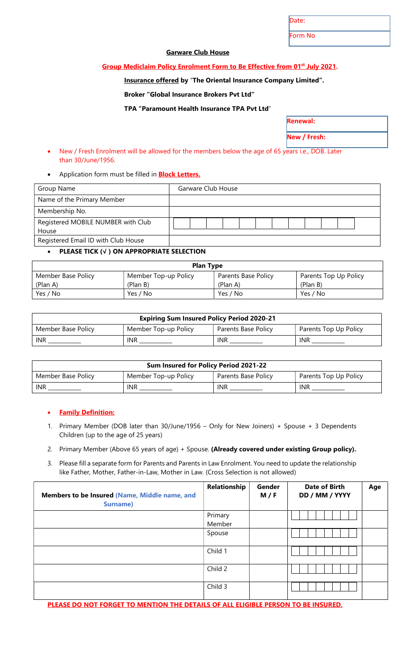Date:

Form No

Renewal:

New / Fresh:

# Garware Club House

## Group Mediclaim Policy Enrolment Form to Be Effective from 01<sup>st</sup> July 2021.

# Insurance offered by "The Oriental Insurance Company Limited".

Broker "Global Insurance Brokers Pvt Ltd"

TPA "Paramount Health Insurance TPA Pvt Ltd"

| • New / Fresh Enrolment will be allowed for the members below the age of 65 years i.e., DOB. Later |
|----------------------------------------------------------------------------------------------------|
| than 30/June/1956.                                                                                 |

Application form must be filled in **Block Letters.** 

| Group Name                          |  | Garware Club House |  |  |  |  |  |
|-------------------------------------|--|--------------------|--|--|--|--|--|
| Name of the Primary Member          |  |                    |  |  |  |  |  |
| Membership No.                      |  |                    |  |  |  |  |  |
| Registered MOBILE NUMBER with Club  |  |                    |  |  |  |  |  |
| House                               |  |                    |  |  |  |  |  |
| Registered Email ID with Club House |  |                    |  |  |  |  |  |

### PLEASE TICK (√ ) ON APPROPRIATE SELECTION

| <b>Plan Type</b>   |                      |                     |                       |  |  |  |  |  |
|--------------------|----------------------|---------------------|-----------------------|--|--|--|--|--|
| Member Base Policy | Member Top-up Policy | Parents Base Policy | Parents Top Up Policy |  |  |  |  |  |
| (Plan A)           | (Plan B)             | (Plan A)            | (Plan B)              |  |  |  |  |  |
| Yes / No           | Yes / No             | Yes / No            | Yes / No              |  |  |  |  |  |

| <b>Expiring Sum Insured Policy Period 2020-21</b> |                      |                     |                       |  |  |  |  |  |
|---------------------------------------------------|----------------------|---------------------|-----------------------|--|--|--|--|--|
| Member Base Policy                                | Member Top-up Policy | Parents Base Policy | Parents Top Up Policy |  |  |  |  |  |
| <b>INR</b>                                        | <b>INR</b>           | INR                 | <b>INR</b>            |  |  |  |  |  |

| Sum Insured for Policy Period 2021-22 |                      |                     |                       |  |  |  |  |  |
|---------------------------------------|----------------------|---------------------|-----------------------|--|--|--|--|--|
| Member Base Policy                    | Member Top-up Policy | Parents Base Policy | Parents Top Up Policy |  |  |  |  |  |
| <b>INR</b>                            | INR                  | INR                 | <b>INR</b>            |  |  |  |  |  |

### • Family Definition:

- 1. Primary Member (DOB later than 30/June/1956 Only for New Joiners) + Spouse + 3 Dependents Children (up to the age of 25 years)
- 2. Primary Member (Above 65 years of age) + Spouse. (Already covered under existing Group policy).
- 3. Please fill a separate form for Parents and Parents in Law Enrolment. You need to update the relationship like Father, Mother, Father-in-Law, Mother in Law. (Cross Selection is not allowed)

| Members to be Insured (Name, Middle name, and<br><b>Surname)</b> | Relationship      | Gender<br>M / F | <b>Date of Birth</b><br>DD / MM / YYYY | Age |
|------------------------------------------------------------------|-------------------|-----------------|----------------------------------------|-----|
|                                                                  | Primary<br>Member |                 |                                        |     |
|                                                                  | Spouse            |                 |                                        |     |
|                                                                  | Child 1           |                 |                                        |     |
|                                                                  | Child 2           |                 |                                        |     |
|                                                                  | Child 3           |                 |                                        |     |

PLEASE DO NOT FORGET TO MENTION THE DETAILS OF ALL ELIGIBLE PERSON TO BE INSURED.